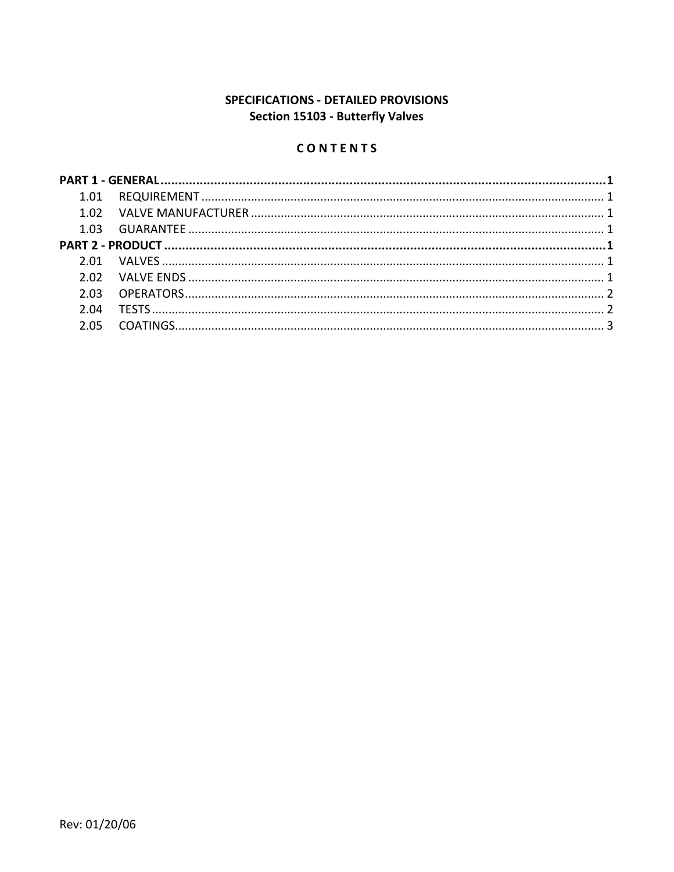# SPECIFICATIONS - DETAILED PROVISIONS Section 15103 - Butterfly Valves

## CONTENTS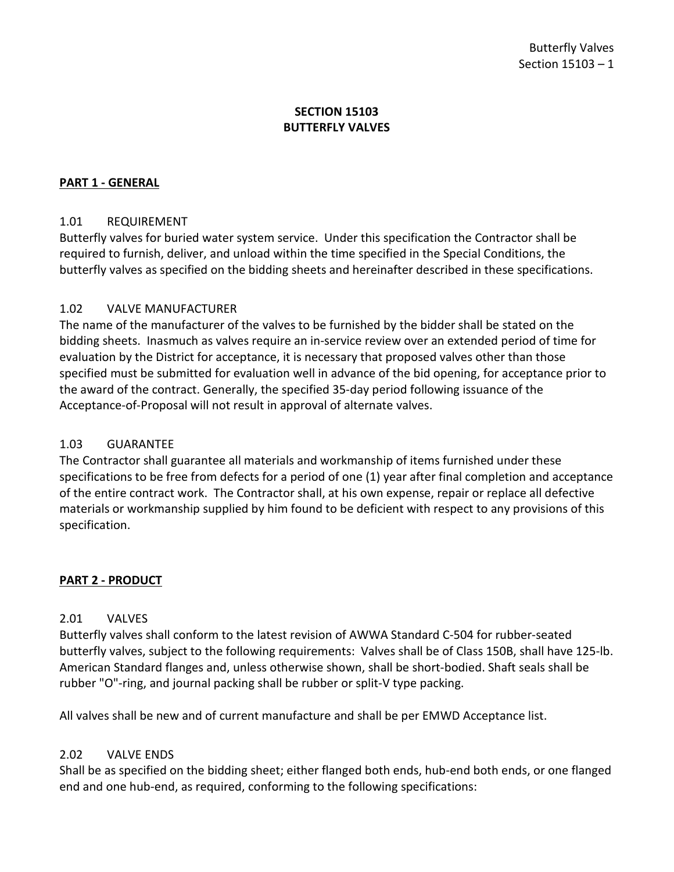### **SECTION 15103 BUTTERFLY VALVES**

### <span id="page-2-0"></span>**PART 1 - GENERAL**

### <span id="page-2-1"></span>1.01 REQUIREMENT

Butterfly valves for buried water system service. Under this specification the Contractor shall be required to furnish, deliver, and unload within the time specified in the Special Conditions, the butterfly valves as specified on the bidding sheets and hereinafter described in these specifications.

### <span id="page-2-2"></span>1.02 VALVE MANUFACTURER

The name of the manufacturer of the valves to be furnished by the bidder shall be stated on the bidding sheets. Inasmuch as valves require an in-service review over an extended period of time for evaluation by the District for acceptance, it is necessary that proposed valves other than those specified must be submitted for evaluation well in advance of the bid opening, for acceptance prior to the award of the contract. Generally, the specified 35-day period following issuance of the Acceptance-of-Proposal will not result in approval of alternate valves.

### <span id="page-2-3"></span>1.03 GUARANTEE

The Contractor shall guarantee all materials and workmanship of items furnished under these specifications to be free from defects for a period of one (1) year after final completion and acceptance of the entire contract work. The Contractor shall, at his own expense, repair or replace all defective materials or workmanship supplied by him found to be deficient with respect to any provisions of this specification.

### <span id="page-2-4"></span>**PART 2 - PRODUCT**

### <span id="page-2-5"></span>2.01 VALVES

Butterfly valves shall conform to the latest revision of AWWA Standard C-504 for rubber-seated butterfly valves, subject to the following requirements: Valves shall be of Class 150B, shall have 125-lb. American Standard flanges and, unless otherwise shown, shall be short-bodied. Shaft seals shall be rubber "O"-ring, and journal packing shall be rubber or split-V type packing.

All valves shall be new and of current manufacture and shall be per EMWD Acceptance list.

#### <span id="page-2-6"></span>2.02 VALVE ENDS

Shall be as specified on the bidding sheet; either flanged both ends, hub-end both ends, or one flanged end and one hub-end, as required, conforming to the following specifications: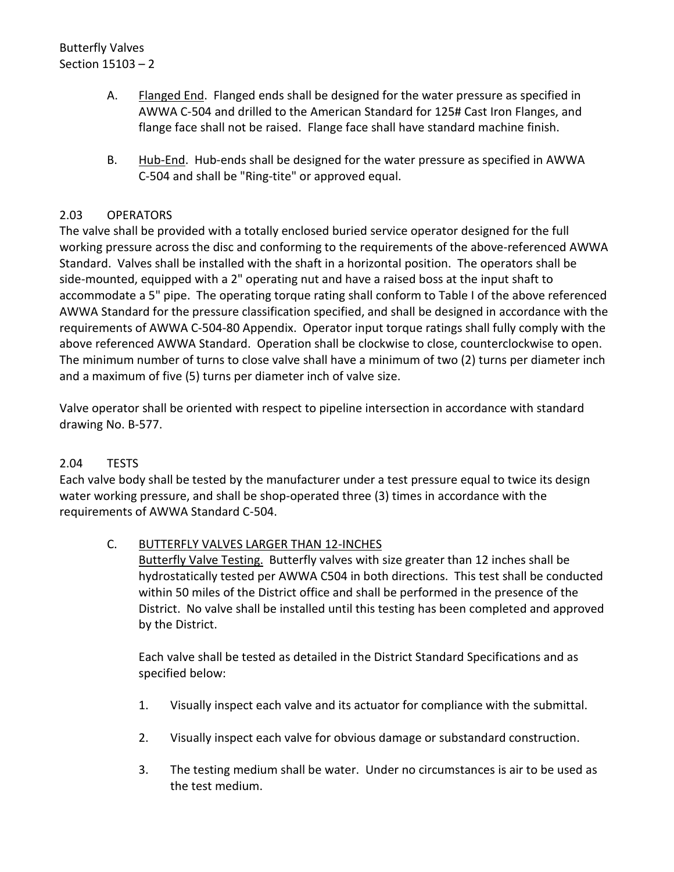- A. Flanged End. Flanged ends shall be designed for the water pressure as specified in AWWA C-504 and drilled to the American Standard for 125# Cast Iron Flanges, and flange face shall not be raised. Flange face shall have standard machine finish.
- B. Hub-End. Hub-ends shall be designed for the water pressure as specified in AWWA C-504 and shall be "Ring-tite" or approved equal.

## <span id="page-3-0"></span>2.03 OPERATORS

The valve shall be provided with a totally enclosed buried service operator designed for the full working pressure across the disc and conforming to the requirements of the above-referenced AWWA Standard. Valves shall be installed with the shaft in a horizontal position. The operators shall be side-mounted, equipped with a 2" operating nut and have a raised boss at the input shaft to accommodate a 5" pipe. The operating torque rating shall conform to Table I of the above referenced AWWA Standard for the pressure classification specified, and shall be designed in accordance with the requirements of AWWA C-504-80 Appendix. Operator input torque ratings shall fully comply with the above referenced AWWA Standard. Operation shall be clockwise to close, counterclockwise to open. The minimum number of turns to close valve shall have a minimum of two (2) turns per diameter inch and a maximum of five (5) turns per diameter inch of valve size.

Valve operator shall be oriented with respect to pipeline intersection in accordance with standard drawing No. B-577.

## <span id="page-3-1"></span>2.04 TESTS

Each valve body shall be tested by the manufacturer under a test pressure equal to twice its design water working pressure, and shall be shop-operated three (3) times in accordance with the requirements of AWWA Standard C-504.

## C. BUTTERFLY VALVES LARGER THAN 12-INCHES

Butterfly Valve Testing. Butterfly valves with size greater than 12 inches shall be hydrostatically tested per AWWA C504 in both directions. This test shall be conducted within 50 miles of the District office and shall be performed in the presence of the District. No valve shall be installed until this testing has been completed and approved by the District.

Each valve shall be tested as detailed in the District Standard Specifications and as specified below:

- 1. Visually inspect each valve and its actuator for compliance with the submittal.
- 2. Visually inspect each valve for obvious damage or substandard construction.
- 3. The testing medium shall be water. Under no circumstances is air to be used as the test medium.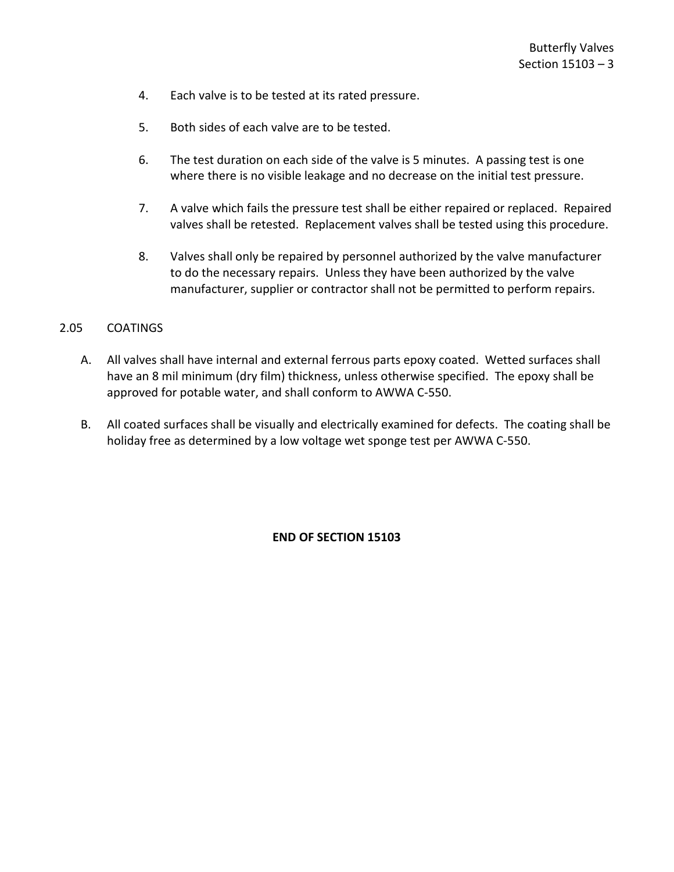- 4. Each valve is to be tested at its rated pressure.
- 5. Both sides of each valve are to be tested.
- 6. The test duration on each side of the valve is 5 minutes. A passing test is one where there is no visible leakage and no decrease on the initial test pressure.
- 7. A valve which fails the pressure test shall be either repaired or replaced. Repaired valves shall be retested. Replacement valves shall be tested using this procedure.
- 8. Valves shall only be repaired by personnel authorized by the valve manufacturer to do the necessary repairs. Unless they have been authorized by the valve manufacturer, supplier or contractor shall not be permitted to perform repairs.

#### <span id="page-4-0"></span>2.05 COATINGS

- A. All valves shall have internal and external ferrous parts epoxy coated. Wetted surfaces shall have an 8 mil minimum (dry film) thickness, unless otherwise specified. The epoxy shall be approved for potable water, and shall conform to AWWA C-550.
- B. All coated surfaces shall be visually and electrically examined for defects. The coating shall be holiday free as determined by a low voltage wet sponge test per AWWA C-550.

**END OF SECTION 15103**